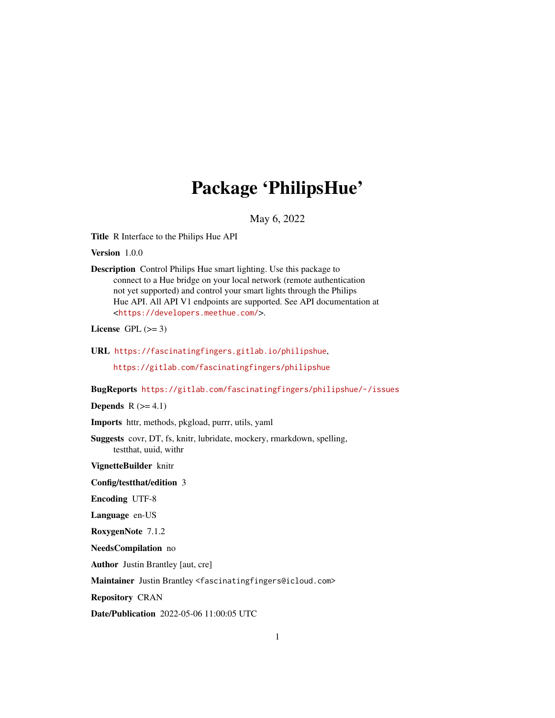# Package 'PhilipsHue'

May 6, 2022

<span id="page-0-0"></span>Title R Interface to the Philips Hue API

Version 1.0.0

Description Control Philips Hue smart lighting. Use this package to connect to a Hue bridge on your local network (remote authentication not yet supported) and control your smart lights through the Philips Hue API. All API V1 endpoints are supported. See API documentation at <<https://developers.meethue.com/>>.

License GPL  $(>= 3)$ 

URL <https://fascinatingfingers.gitlab.io/philipshue>,

<https://gitlab.com/fascinatingfingers/philipshue>

BugReports <https://gitlab.com/fascinatingfingers/philipshue/-/issues>

Depends  $R$  ( $>= 4.1$ )

Imports httr, methods, pkgload, purrr, utils, yaml

Suggests covr, DT, fs, knitr, lubridate, mockery, rmarkdown, spelling, testthat, uuid, withr

VignetteBuilder knitr

Config/testthat/edition 3

Encoding UTF-8

Language en-US

RoxygenNote 7.1.2

NeedsCompilation no

Author Justin Brantley [aut, cre]

Maintainer Justin Brantley <fascinatingfingers@icloud.com>

Repository CRAN

Date/Publication 2022-05-06 11:00:05 UTC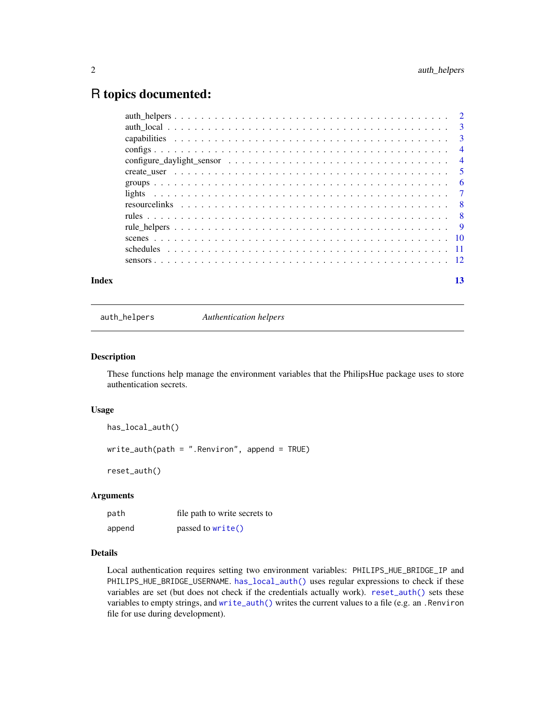# <span id="page-1-0"></span>R topics documented:

| Index | 13 |
|-------|----|

auth\_helpers *Authentication helpers*

#### <span id="page-1-1"></span>Description

These functions help manage the environment variables that the PhilipsHue package uses to store authentication secrets.

#### Usage

```
has_local_auth()
write_auth(path = ".Renviron", append = TRUE)
reset_auth()
```
# Arguments

| path   | file path to write secrets to |
|--------|-------------------------------|
| append | passed to write()             |

# Details

Local authentication requires setting two environment variables: PHILIPS\_HUE\_BRIDGE\_IP and PHILIPS\_HUE\_BRIDGE\_USERNAME. [has\\_local\\_auth\(\)](#page-1-1) uses regular expressions to check if these variables are set (but does not check if the credentials actually work). [reset\\_auth\(\)](#page-1-1) sets these variables to empty strings, and [write\\_auth\(\)](#page-1-1) writes the current values to a file (e.g. an .Renviron file for use during development).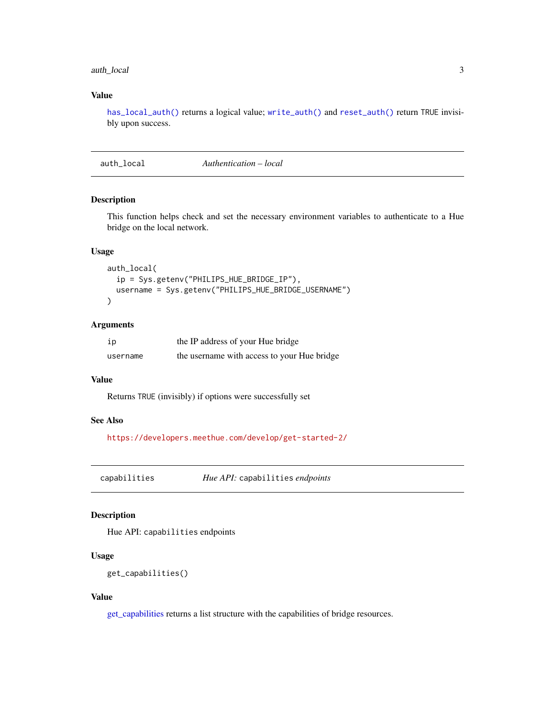# <span id="page-2-0"></span>auth\_local 3

#### Value

[has\\_local\\_auth\(\)](#page-1-1) returns a logical value; [write\\_auth\(\)](#page-1-1) and [reset\\_auth\(\)](#page-1-1) return TRUE invisibly upon success.

auth\_local *Authentication – local*

# Description

This function helps check and set the necessary environment variables to authenticate to a Hue bridge on the local network.

#### Usage

```
auth_local(
 ip = Sys.getenv("PHILIPS_HUE_BRIDGE_IP"),
 username = Sys.getenv("PHILIPS_HUE_BRIDGE_USERNAME")
)
```
#### Arguments

| ip       | the IP address of your Hue bridge           |
|----------|---------------------------------------------|
| username | the username with access to your Hue bridge |

# Value

Returns TRUE (invisibly) if options were successfully set

#### See Also

<https://developers.meethue.com/develop/get-started-2/>

capabilities *Hue API:* capabilities *endpoints*

#### <span id="page-2-1"></span>Description

Hue API: capabilities endpoints

#### Usage

get\_capabilities()

#### Value

[get\\_capabilities](#page-2-1) returns a list structure with the capabilities of bridge resources.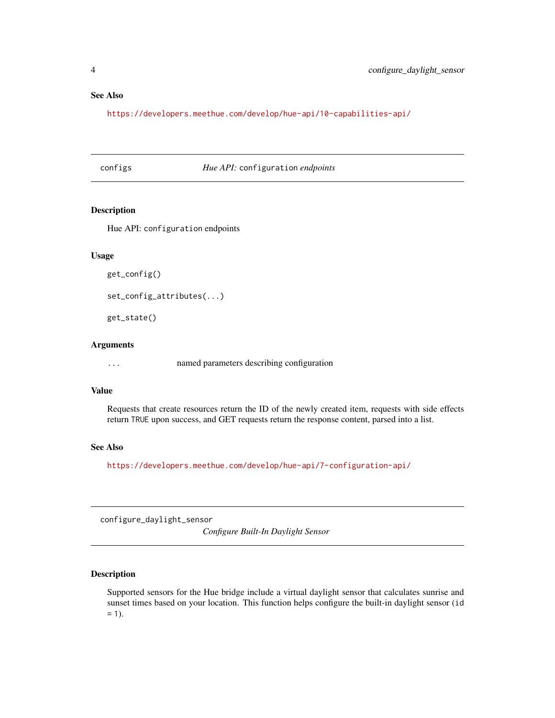#### <span id="page-3-0"></span>See Also

<https://developers.meethue.com/develop/hue-api/10-capabilities-api/>

#### configs *Hue API:* configuration *endpoints*

#### Description

Hue API: configuration endpoints

#### Usage

```
get_config()
set_config_attributes(...)
```
get\_state()

# Arguments

... named parameters describing configuration

#### Value

Requests that create resources return the ID of the newly created item, requests with side effects return TRUE upon success, and GET requests return the response content, parsed into a list.

#### See Also

<https://developers.meethue.com/develop/hue-api/7-configuration-api/>

configure\_daylight\_sensor

*Configure Built-In Daylight Sensor*

#### Description

Supported sensors for the Hue bridge include a virtual daylight sensor that calculates sunrise and sunset times based on your location. This function helps configure the built-in daylight sensor (id  $= 1$ ).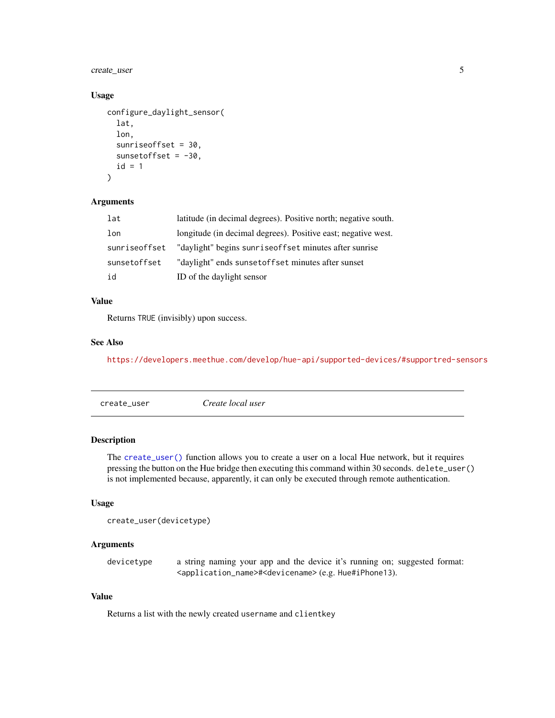<span id="page-4-0"></span>create\_user 5

#### Usage

```
configure_daylight_sensor(
  lat,
  lon,
  sunriseoffset = 30,
  sunsetoffset = -30,
  id = 1)
```
# Arguments

| lat           | latitude (in decimal degrees). Positive north; negative south. |
|---------------|----------------------------------------------------------------|
| lon           | longitude (in decimal degrees). Positive east; negative west.  |
| sunriseoffset | "daylight" begins sunrise of fset minutes after sunrise        |
| sunsetoffset  | "daylight" ends sunsetoffset minutes after sunset              |
| id            | ID of the daylight sensor                                      |

#### Value

Returns TRUE (invisibly) upon success.

#### See Also

<https://developers.meethue.com/develop/hue-api/supported-devices/#supportred-sensors>

<span id="page-4-1"></span>

| create_user | Create local user |  |
|-------------|-------------------|--|
|             |                   |  |

#### Description

The [create\\_user\(\)](#page-4-1) function allows you to create a user on a local Hue network, but it requires pressing the button on the Hue bridge then executing this command within 30 seconds. delete\_user() is not implemented because, apparently, it can only be executed through remote authentication.

# Usage

```
create_user(devicetype)
```
# Arguments

devicetype a string naming your app and the device it's running on; suggested format: <application\_name>#<devicename> (e.g. Hue#iPhone13).

#### Value

Returns a list with the newly created username and clientkey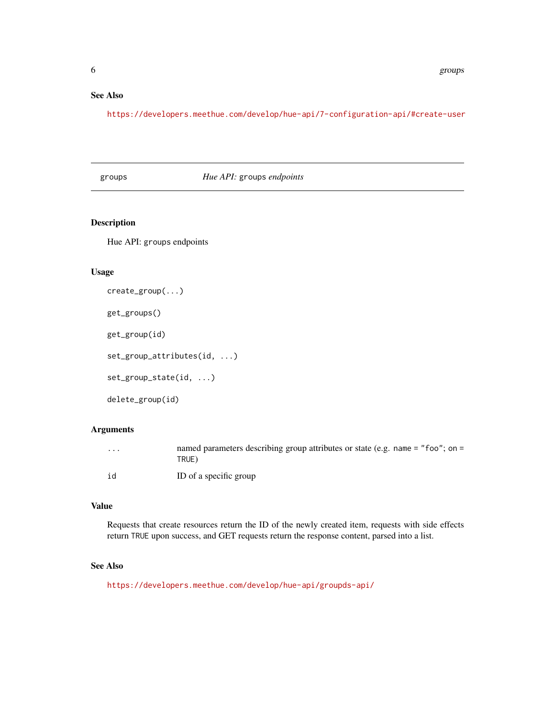# <span id="page-5-0"></span>See Also

<https://developers.meethue.com/develop/hue-api/7-configuration-api/#create-user>

# groups *Hue API:* groups *endpoints*

# Description

Hue API: groups endpoints

#### Usage

```
create_group(...)
get_groups()
get_group(id)
set_group_attributes(id, ...)
set_group_state(id, ...)
delete_group(id)
```
# Arguments

| $\cdot$ | named parameters describing group attributes or state (e.g. name $=$ "foo"; on $=$<br>TRUE) |
|---------|---------------------------------------------------------------------------------------------|
| id      | ID of a specific group                                                                      |

#### Value

Requests that create resources return the ID of the newly created item, requests with side effects return TRUE upon success, and GET requests return the response content, parsed into a list.

# See Also

<https://developers.meethue.com/develop/hue-api/groupds-api/>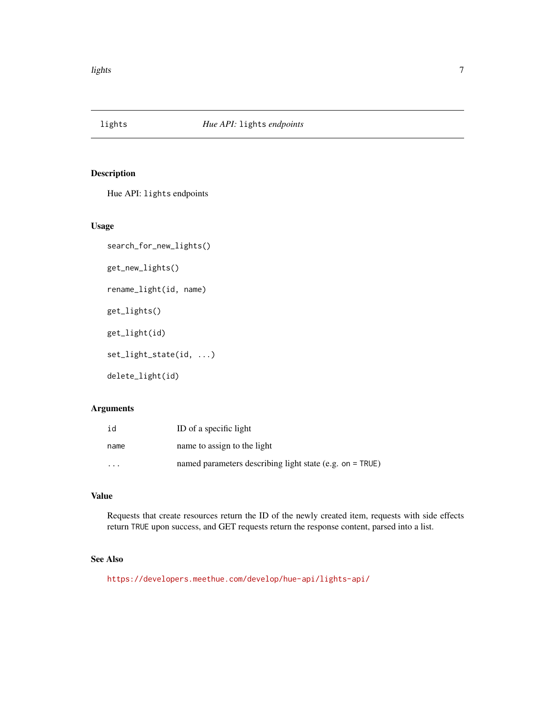<span id="page-6-0"></span>

# Description

Hue API: lights endpoints

#### Usage

```
search_for_new_lights()
get_new_lights()
```
rename\_light(id, name)

get\_lights()

get\_light(id)

set\_light\_state(id, ...)

delete\_light(id)

# Arguments

| id      | ID of a specific light                                     |
|---------|------------------------------------------------------------|
| name    | name to assign to the light                                |
| $\cdot$ | named parameters describing light state (e.g. on $=$ TRUE) |

### Value

Requests that create resources return the ID of the newly created item, requests with side effects return TRUE upon success, and GET requests return the response content, parsed into a list.

# See Also

<https://developers.meethue.com/develop/hue-api/lights-api/>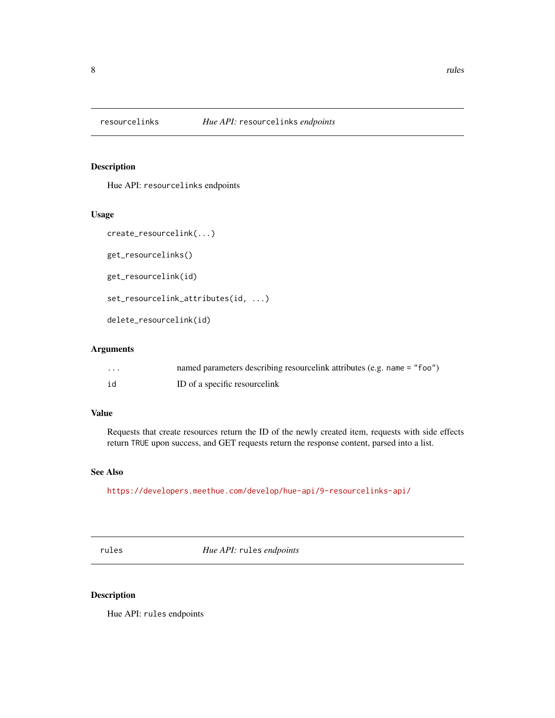<span id="page-7-0"></span>

#### Description

Hue API: resourcelinks endpoints

#### Usage

```
create_resourcelink(...)
```
get\_resourcelinks()

get\_resourcelink(id)

set\_resourcelink\_attributes(id, ...)

delete\_resourcelink(id)

#### Arguments

| .  | named parameters describing resourcelink attributes (e.g. name = "foo") |
|----|-------------------------------------------------------------------------|
| id | ID of a specific resourcelink                                           |

#### Value

Requests that create resources return the ID of the newly created item, requests with side effects return TRUE upon success, and GET requests return the response content, parsed into a list.

#### See Also

<https://developers.meethue.com/develop/hue-api/9-resourcelinks-api/>

rules *Hue API:* rules *endpoints*

#### <span id="page-7-1"></span>Description

Hue API: rules endpoints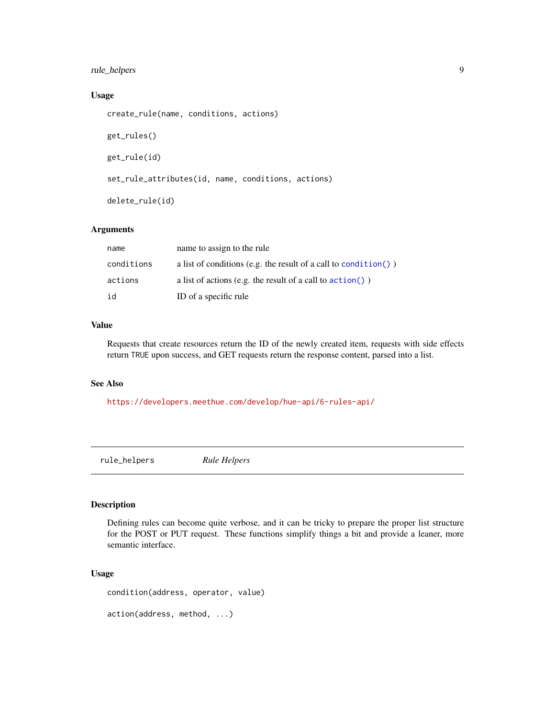# <span id="page-8-0"></span>rule\_helpers 9

# Usage

```
create_rule(name, conditions, actions)
get_rules()
get_rule(id)
set_rule_attributes(id, name, conditions, actions)
delete_rule(id)
```
# Arguments

| name       | name to assign to the rule                                          |
|------------|---------------------------------------------------------------------|
| conditions | a list of conditions (e.g. the result of a call to condition())     |
| actions    | a list of actions (e.g. the result of a call to $\text{action}()$ ) |
| id         | ID of a specific rule                                               |

# Value

Requests that create resources return the ID of the newly created item, requests with side effects return TRUE upon success, and GET requests return the response content, parsed into a list.

#### See Also

<https://developers.meethue.com/develop/hue-api/6-rules-api/>

rule\_helpers *Rule Helpers*

#### <span id="page-8-1"></span>Description

Defining rules can become quite verbose, and it can be tricky to prepare the proper list structure for the POST or PUT request. These functions simplify things a bit and provide a leaner, more semantic interface.

#### Usage

```
condition(address, operator, value)
action(address, method, ...)
```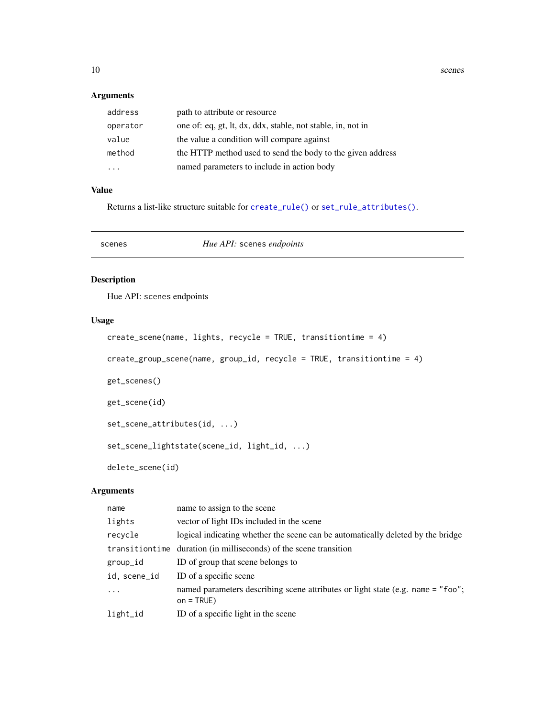<span id="page-9-0"></span>10 scenes scenes and the set of the set of the set of the set of the set of the set of the set of the set of the set of the set of the set of the set of the set of the set of the set of the set of the set of the set of the

# Arguments

| address  | path to attribute or resource                               |
|----------|-------------------------------------------------------------|
| operator | one of: eq, gt, lt, dx, ddx, stable, not stable, in, not in |
| value    | the value a condition will compare against                  |
| method   | the HTTP method used to send the body to the given address  |
| .        | named parameters to include in action body                  |

# Value

Returns a list-like structure suitable for [create\\_rule\(\)](#page-7-1) or [set\\_rule\\_attributes\(\)](#page-7-1).

scenes *Hue API:* scenes *endpoints*

#### Description

Hue API: scenes endpoints

# Usage

```
create_scene(name, lights, recycle = TRUE, transitiontime = 4)
create_group_scene(name, group_id, recycle = TRUE, transitiontime = 4)
get_scenes()
get_scene(id)
set_scene_attributes(id, ...)
set_scene_lightstate(scene_id, light_id, ...)
delete_scene(id)
```
# Arguments

| name         | name to assign to the scene                                                                      |
|--------------|--------------------------------------------------------------------------------------------------|
| lights       | vector of light IDs included in the scene                                                        |
| recycle      | logical indicating whether the scene can be automatically deleted by the bridge                  |
|              | transition time duration (in milliseconds) of the scene transition                               |
| group_id     | ID of group that scene belongs to                                                                |
| id, scene_id | ID of a specific scene                                                                           |
| $\ddots$     | named parameters describing scene attributes or light state (e.g. name = "foo";<br>$on = TRUE$ ) |
| $light\_id$  | ID of a specific light in the scene                                                              |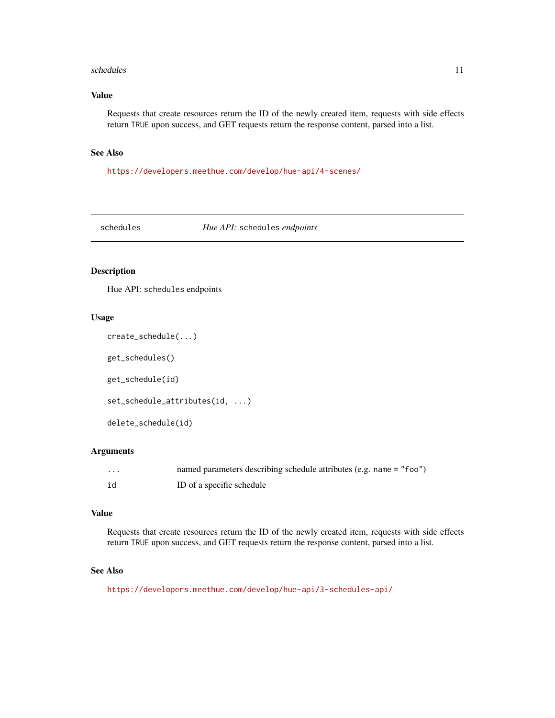#### <span id="page-10-0"></span>schedules and the set of the set of the set of the set of the set of the set of the set of the set of the set of the set of the set of the set of the set of the set of the set of the set of the set of the set of the set of

# Value

Requests that create resources return the ID of the newly created item, requests with side effects return TRUE upon success, and GET requests return the response content, parsed into a list.

#### See Also

<https://developers.meethue.com/develop/hue-api/4-scenes/>

schedules *Hue API:* schedules *endpoints*

#### Description

Hue API: schedules endpoints

#### Usage

```
create_schedule(...)
```
get\_schedules()

get\_schedule(id)

set\_schedule\_attributes(id, ...)

```
delete_schedule(id)
```
#### Arguments

| . | named parameters describing schedule attributes (e.g. name $=$ "foo") |
|---|-----------------------------------------------------------------------|
|   | ID of a specific schedule                                             |

#### Value

Requests that create resources return the ID of the newly created item, requests with side effects return TRUE upon success, and GET requests return the response content, parsed into a list.

#### See Also

<https://developers.meethue.com/develop/hue-api/3-schedules-api/>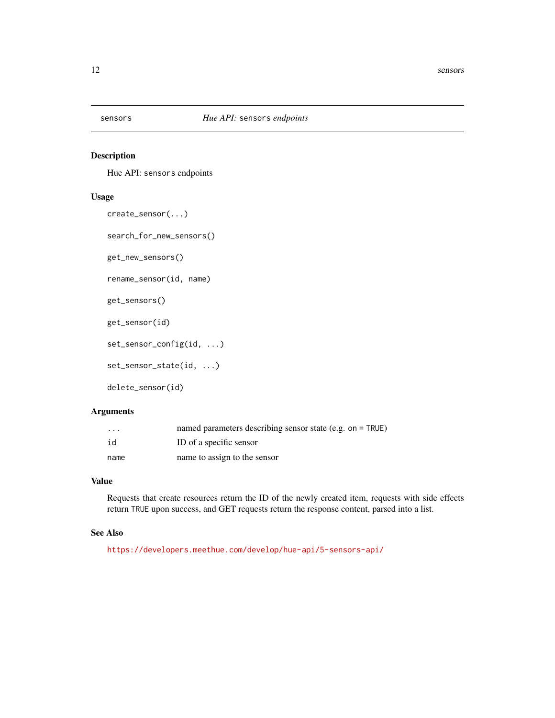<span id="page-11-0"></span>

# Description

Hue API: sensors endpoints

#### Usage

```
create_sensor(...)
search_for_new_sensors()
```
get\_new\_sensors()

rename\_sensor(id, name)

```
get_sensors()
```
get\_sensor(id)

set\_sensor\_config(id, ...)

set\_sensor\_state(id, ...)

delete\_sensor(id)

#### Arguments

| $\cdot$ $\cdot$ $\cdot$ | named parameters describing sensor state (e.g. on $=$ TRUE) |
|-------------------------|-------------------------------------------------------------|
| id                      | ID of a specific sensor                                     |
| name                    | name to assign to the sensor                                |

#### Value

Requests that create resources return the ID of the newly created item, requests with side effects return TRUE upon success, and GET requests return the response content, parsed into a list.

# See Also

<https://developers.meethue.com/develop/hue-api/5-sensors-api/>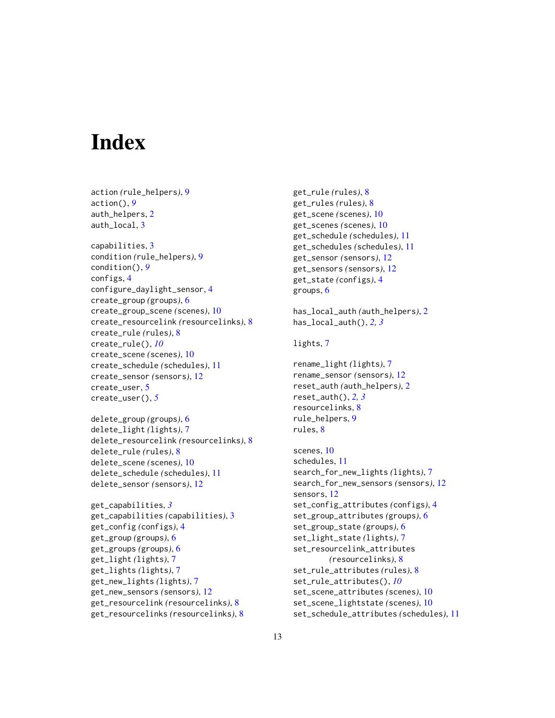# <span id="page-12-0"></span>**Index**

action *(*rule\_helpers*)*, [9](#page-8-0) action(), *[9](#page-8-0)* auth\_helpers, [2](#page-1-0) auth\_local, [3](#page-2-0) capabilities, [3](#page-2-0) condition *(*rule\_helpers*)*, [9](#page-8-0) condition(), *[9](#page-8-0)* configs, [4](#page-3-0) configure\_daylight\_sensor, [4](#page-3-0) create\_group *(*groups*)*, [6](#page-5-0) create\_group\_scene *(*scenes*)*, [10](#page-9-0) create\_resourcelink *(*resourcelinks*)*, [8](#page-7-0) create\_rule *(*rules*)*, [8](#page-7-0) create\_rule(), *[10](#page-9-0)* create\_scene *(*scenes*)*, [10](#page-9-0) create\_schedule *(*schedules*)*, [11](#page-10-0) create\_sensor *(*sensors*)*, [12](#page-11-0) create\_user, [5](#page-4-0) create\_user(), *[5](#page-4-0)*

```
delete_group (groups), 6
delete_light (lights), 7
delete_resourcelink (resourcelinks), 8
delete_rule (rules), 8
delete_scene (scenes), 10
delete_schedule (schedules), 11
delete_sensor (sensors), 12
```

```
get_capabilities, 3
get_capabilities (capabilities), 3
get_config (configs), 4
get_group (groups), 6
get_groups (groups), 6
get_light (lights), 7
get_lights (lights), 7
get_new_lights (lights), 7
get_new_sensors (sensors), 12
get_resourcelink (resourcelinks), 8
get_resourcelinks (resourcelinks), 8
```

```
get_rule (rules), 8
get_rules (rules), 8
get_scene (scenes), 10
get_scenes (scenes), 10
get_schedule (schedules), 11
get_schedules (schedules), 11
get_sensor (sensors), 12
get_sensors (sensors), 12
get_state (configs), 4
groups, 6
has_local_auth (auth_helpers), 2
has_local_auth(), 2, 3
lights, 7
rename_light (lights), 7
rename_sensor (sensors), 12
reset_auth (auth_helpers), 2
reset_auth(), 2, 3
resourcelinks, 8
rule_helpers, 9
rules, 8
scenes, 10
schedules, 11
search_for_new_lights (lights), 7
search_for_new_sensors (sensors), 12
sensors, 12
set_config_attributes (configs), 4
set_group_attributes (groups), 6
set_group_state (groups), 6
set_light_state (lights), 7
set_resourcelink_attributes
```
*(*resourcelinks*)*, [8](#page-7-0) set\_rule\_attributes *(*rules*)*, [8](#page-7-0) set\_rule\_attributes(), *[10](#page-9-0)* set\_scene\_attributes *(*scenes*)*, [10](#page-9-0) set\_scene\_lightstate *(*scenes*)*, [10](#page-9-0) set\_schedule\_attributes *(*schedules*)*, [11](#page-10-0)